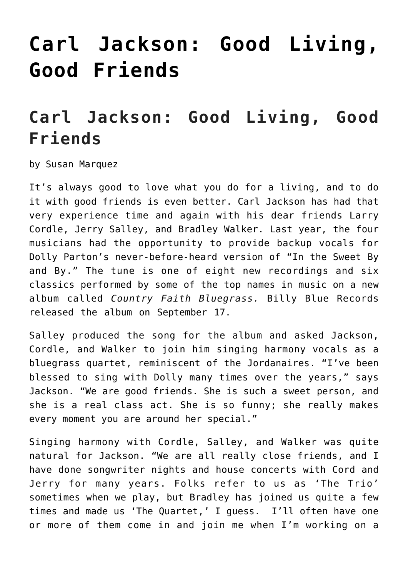# **[Carl Jackson: Good Living,](https://thebluegrassstandard.com/carl-jackson-good-living-good-friends/) [Good Friends](https://thebluegrassstandard.com/carl-jackson-good-living-good-friends/)**

# **Carl Jackson: Good Living, Good Friends**

by Susan Marquez

It's always good to love what you do for a living, and to do it with good friends is even better. Carl Jackson has had that very experience time and again with his dear friends Larry Cordle, Jerry Salley, and Bradley Walker. Last year, the four musicians had the opportunity to provide backup vocals for Dolly Parton's never-before-heard version of "In the Sweet By and By." The tune is one of eight new recordings and six classics performed by some of the top names in music on a new album called *Country Faith Bluegrass.* Billy Blue Records released the album on September 17.

Salley produced the song for the album and asked Jackson, Cordle, and Walker to join him singing harmony vocals as a bluegrass quartet, reminiscent of the Jordanaires. "I've been blessed to sing with Dolly many times over the years," says Jackson. "We are good friends. She is such a sweet person, and she is a real class act. She is so funny; she really makes every moment you are around her special."

Singing harmony with Cordle, Salley, and Walker was quite natural for Jackson. "We are all really close friends, and I have done songwriter nights and house concerts with Cord and Jerry for many years. Folks refer to us as 'The Trio' sometimes when we play, but Bradley has joined us quite a few times and made us 'The Quartet,' I guess. I'll often have one or more of them come in and join me when I'm working on a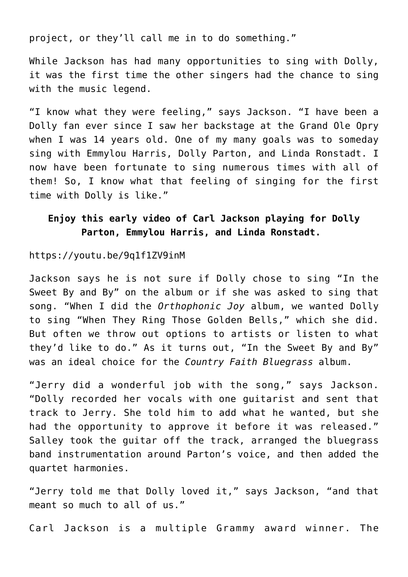project, or they'll call me in to do something."

While Jackson has had many opportunities to sing with Dolly, it was the first time the other singers had the chance to sing with the music legend.

"I know what they were feeling," says Jackson. "I have been a Dolly fan ever since I saw her backstage at the Grand Ole Opry when I was 14 years old. One of my many goals was to someday sing with Emmylou Harris, Dolly Parton, and Linda Ronstadt. I now have been fortunate to sing numerous times with all of them! So, I know what that feeling of singing for the first time with Dolly is like."

### **Enjoy this early video of Carl Jackson playing for Dolly Parton, Emmylou Harris, and Linda Ronstadt.**

#### https://youtu.be/9q1f1ZV9inM

Jackson says he is not sure if Dolly chose to sing "In the Sweet By and By" on the album or if she was asked to sing that song. "When I did the *Orthophonic Joy* album, we wanted Dolly to sing "When They Ring Those Golden Bells," which she did. But often we throw out options to artists or listen to what they'd like to do." As it turns out, "In the Sweet By and By" was an ideal choice for the *Country Faith Bluegrass* album.

"Jerry did a wonderful job with the song," says Jackson. "Dolly recorded her vocals with one guitarist and sent that track to Jerry. She told him to add what he wanted, but she had the opportunity to approve it before it was released." Salley took the guitar off the track, arranged the bluegrass band instrumentation around Parton's voice, and then added the quartet harmonies.

"Jerry told me that Dolly loved it," says Jackson, "and that meant so much to all of us."

Carl Jackson is a multiple Grammy award winner. The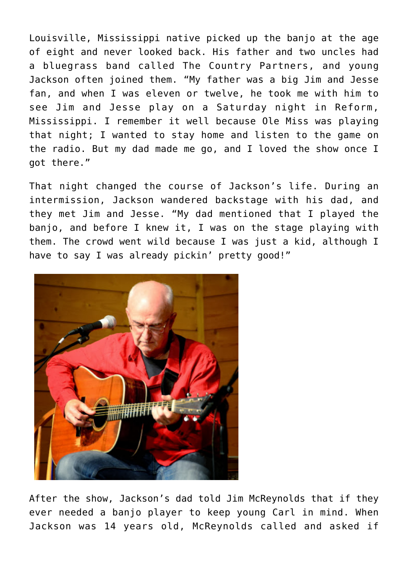Louisville, Mississippi native picked up the banjo at the age of eight and never looked back. His father and two uncles had a bluegrass band called The Country Partners, and young Jackson often joined them. "My father was a big Jim and Jesse fan, and when I was eleven or twelve, he took me with him to see Jim and Jesse play on a Saturday night in Reform, Mississippi. I remember it well because Ole Miss was playing that night; I wanted to stay home and listen to the game on the radio. But my dad made me go, and I loved the show once I got there."

That night changed the course of Jackson's life. During an intermission, Jackson wandered backstage with his dad, and they met Jim and Jesse. "My dad mentioned that I played the banjo, and before I knew it, I was on the stage playing with them. The crowd went wild because I was just a kid, although I have to say I was already pickin' pretty good!"



After the show, Jackson's dad told Jim McReynolds that if they ever needed a banjo player to keep young Carl in mind. When Jackson was 14 years old, McReynolds called and asked if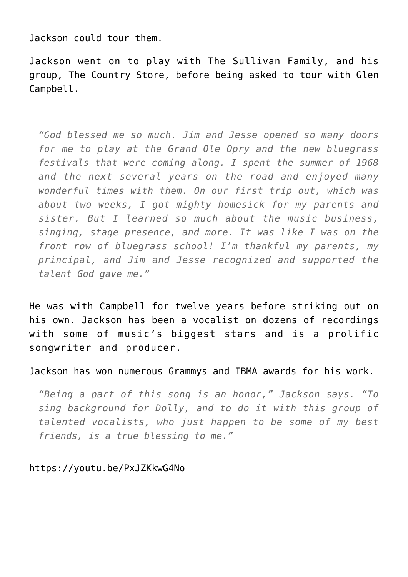Jackson could tour them.

Jackson went on to play with The Sullivan Family, and his group, The Country Store, before being asked to tour with Glen Campbell.

*"God blessed me so much. Jim and Jesse opened so many doors for me to play at the Grand Ole Opry and the new bluegrass festivals that were coming along. I spent the summer of 1968 and the next several years on the road and enjoyed many wonderful times with them. On our first trip out, which was about two weeks, I got mighty homesick for my parents and sister. But I learned so much about the music business, singing, stage presence, and more. It was like I was on the front row of bluegrass school! I'm thankful my parents, my principal, and Jim and Jesse recognized and supported the talent God gave me."*

He was with Campbell for twelve years before striking out on his own. Jackson has been a vocalist on dozens of recordings with some of music's biggest stars and is a prolific songwriter and producer.

Jackson has won numerous Grammys and IBMA awards for his work.

*"Being a part of this song is an honor," Jackson says. "To sing background for Dolly, and to do it with this group of talented vocalists, who just happen to be some of my best friends, is a true blessing to me."*

#### https://youtu.be/PxJZKkwG4No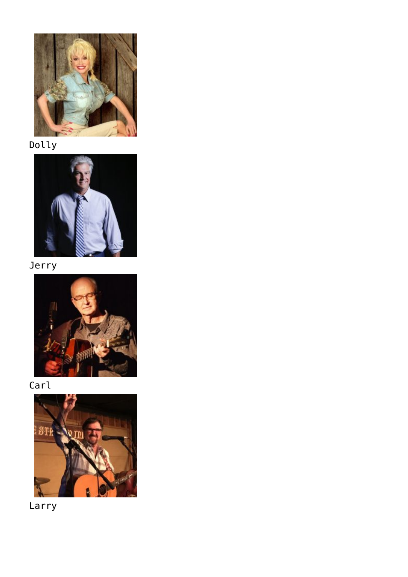

Dolly



Jerry



Carl



Larry